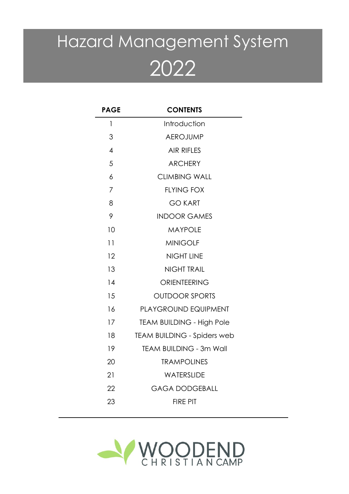# Hazard Management System

| <b>PAGE</b>    | <b>CONTENTS</b>                    |
|----------------|------------------------------------|
| 1              | Introduction                       |
| 3              | <b>AEROJUMP</b>                    |
| $\overline{4}$ | <b>AIR RIFLES</b>                  |
| 5              | <b>ARCHERY</b>                     |
| 6              | <b>CLIMBING WALL</b>               |
| 7              | <b>FLYING FOX</b>                  |
| 8              | <b>GO KART</b>                     |
| 9              | <b>INDOOR GAMES</b>                |
| 10             | <b>MAYPOLE</b>                     |
| 11             | <b>MINIGOLF</b>                    |
| 12             | <b>NIGHT LINE</b>                  |
| 13             | <b>NIGHT TRAIL</b>                 |
| 14             | ORIENTEERING                       |
| 15             | <b>OUTDOOR SPORTS</b>              |
| 16             | PLAYGROUND EQUIPMENT               |
| 17             | <b>TEAM BUILDING - High Pole</b>   |
| 18             | <b>TEAM BUILDING - Spiders web</b> |
| 19             | <b>TEAM BUILDING - 3m Wall</b>     |
| 20             | <b>TRAMPOLINES</b>                 |
| 21             | WATERSLIDE                         |
| 22             | <b>GAGA DODGEBALL</b>              |
| 23             | <b>FIRE PIT</b>                    |

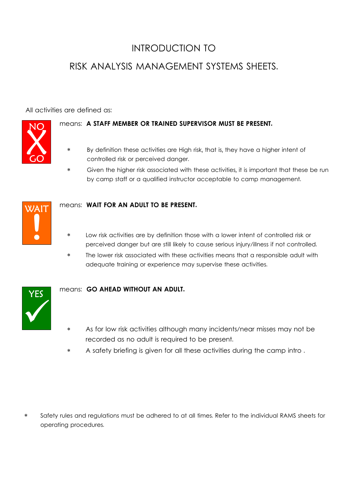# INTRODUCTION TO

## RISK ANALYSIS MANAGEMENT SYSTEMS SHEETS.

All activities are defined as:



#### means: A STAFF MEMBER OR TRAINED SUPERVISOR MUST BE PRESENT.

- By definition these activities are High risk, that is, they have a higher intent of controlled risk or perceived danger.
- Given the higher risk associated with these activities, it is important that these be run by camp staff or a qualified instructor acceptable to camp management.



#### WAIT **means: WAIT FOR AN ADULT TO BE PRESENT.**

- Low risk activities are by definition those with a lower intent of controlled risk or perceived danger but are still likely to cause serious injury/illness if not controlled.
- \* The lower risk associated with these activities means that a responsible adult with adequate training or experience may supervise these activities.



#### means: GO AHEAD WITHOUT AN ADULT.

- As for low risk activities although many incidents/near misses may not be recorded as no adult is required to be present.
- \* A safety briefing is given for all these activities during the camp intro .

\* Safety rules and regulations must be adhered to at all times. Refer to the individual RAMS sheets for operating procedures.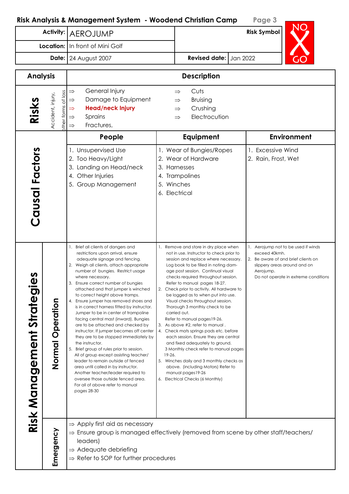|                                 |                                               | Activity:   AEROJUMP                                                                                                                                                                                                                                                                                                                                                                                                                                                                                                                                                                                                                                                                                                                                                                                                                                                                                                                                      |                        |                                                                                                                                                                                                                                                                                                                                                                                                                                                                                                                                                                                                                                                                                                                                                                                                                                         | <b>Risk Symbol</b>                                                                                                                                                               |
|---------------------------------|-----------------------------------------------|-----------------------------------------------------------------------------------------------------------------------------------------------------------------------------------------------------------------------------------------------------------------------------------------------------------------------------------------------------------------------------------------------------------------------------------------------------------------------------------------------------------------------------------------------------------------------------------------------------------------------------------------------------------------------------------------------------------------------------------------------------------------------------------------------------------------------------------------------------------------------------------------------------------------------------------------------------------|------------------------|-----------------------------------------------------------------------------------------------------------------------------------------------------------------------------------------------------------------------------------------------------------------------------------------------------------------------------------------------------------------------------------------------------------------------------------------------------------------------------------------------------------------------------------------------------------------------------------------------------------------------------------------------------------------------------------------------------------------------------------------------------------------------------------------------------------------------------------------|----------------------------------------------------------------------------------------------------------------------------------------------------------------------------------|
| Location: In front of Mini Golf |                                               |                                                                                                                                                                                                                                                                                                                                                                                                                                                                                                                                                                                                                                                                                                                                                                                                                                                                                                                                                           |                        |                                                                                                                                                                                                                                                                                                                                                                                                                                                                                                                                                                                                                                                                                                                                                                                                                                         |                                                                                                                                                                                  |
| 24 August 2007<br>Date:         |                                               |                                                                                                                                                                                                                                                                                                                                                                                                                                                                                                                                                                                                                                                                                                                                                                                                                                                                                                                                                           | Revised date: Jan 2022 |                                                                                                                                                                                                                                                                                                                                                                                                                                                                                                                                                                                                                                                                                                                                                                                                                                         |                                                                                                                                                                                  |
| <b>Analysis</b>                 |                                               |                                                                                                                                                                                                                                                                                                                                                                                                                                                                                                                                                                                                                                                                                                                                                                                                                                                                                                                                                           |                        | <b>Description</b>                                                                                                                                                                                                                                                                                                                                                                                                                                                                                                                                                                                                                                                                                                                                                                                                                      |                                                                                                                                                                                  |
| Risks                           | of loss<br>Accident, injury,<br>forms<br>ther | General Injury<br>$\Rightarrow$<br>Damage to Equipment<br>$\Rightarrow$<br><b>Head/neck Injury</b><br>$\Rightarrow$<br>Sprains<br>$\Rightarrow$<br>Fractures,<br>$\Rightarrow$                                                                                                                                                                                                                                                                                                                                                                                                                                                                                                                                                                                                                                                                                                                                                                            |                        | Cuts<br>$\Rightarrow$<br>Bruising<br>$\Rightarrow$<br>Crushing<br>$\Rightarrow$<br>Electrocution<br>$\Rightarrow$                                                                                                                                                                                                                                                                                                                                                                                                                                                                                                                                                                                                                                                                                                                       |                                                                                                                                                                                  |
|                                 |                                               | People                                                                                                                                                                                                                                                                                                                                                                                                                                                                                                                                                                                                                                                                                                                                                                                                                                                                                                                                                    |                        | Equipment                                                                                                                                                                                                                                                                                                                                                                                                                                                                                                                                                                                                                                                                                                                                                                                                                               | <b>Environment</b>                                                                                                                                                               |
| Causal Factors                  |                                               | 1. Unsupervised Use<br>2. Too Heavy/Light<br>3. Landing on Head/neck<br>4. Other Injuries<br>5. Group Management                                                                                                                                                                                                                                                                                                                                                                                                                                                                                                                                                                                                                                                                                                                                                                                                                                          |                        | 1. Wear of Bungies/Ropes<br>2. Wear of Hardware<br>3. Harnesses<br>4. Trampolines<br>5. Winches<br>6. Electrical                                                                                                                                                                                                                                                                                                                                                                                                                                                                                                                                                                                                                                                                                                                        | 1. Excessive Wind<br>2. Rain, Frost, Wet                                                                                                                                         |
| Φ<br>Risk Management Strateg    | Operation<br>Normal                           | 1. Brief all clients of dangers and<br>restrictions upon arrival, ensure<br>adequate signage and fencing.<br>2. Weigh all clients, attach appropriate<br>number of bungies. Restrict usage<br>where necessary.<br>3. Ensure correct number of bungies<br>attached and that jumper is winched<br>to correct height above tramps.<br>4. Ensure jumper has removed shoes and<br>is in correct harness fitted by instructor.<br>Jumper to be in center of trampoline<br>facing central mast (inward). Bungies<br>are to be attached and checked by<br>instructor. If jumper becomes off center<br>they are to be stopped immediately by<br>the instructor.<br>5. Brief group of rules prior to session.<br>All of group except assisting teacher/<br>leader to remain outside of fenced<br>area until called in by instructor.<br>Another teacher/leader required to<br>oversee those outside fenced area.<br>For all of above refer to manual<br>pages 28-30 | 19-26.                 | 1. Remove and store in dry place when<br>not in use. Instructor to check prior to<br>session and replace where necessary.<br>Log book to be filled in noting dam-<br>age post session. Continual visual<br>checks required throughout session.<br>Refer to manual pages 18-27.<br>2. Check prior to activity. All hardware to<br>be logged as to when put into use.<br>Visual checks throughout session.<br>Thorough 3 monthly check to be<br>carried out.<br>Refer to manual pages19-26.<br>3. As above #2, refer to manual.<br>4. Check mats springs pads etc. before<br>each session. Ensure they are central<br>and fixed adequately to ground.<br>3 Monthly check refer to manual pages<br>5. Winches daily and 3 monthly checks as<br>above. (including Motors) Refer to<br>manual pages19-26<br>6. Electrical Checks (6 Monthly) | 1. Aerojump not to be used if winds<br>exceed 40kmh.<br>2. Be aware of and brief clients on<br>slippery areas around and on<br>Aerojump.<br>Do not operate in extreme conditions |
|                                 | Emergency                                     | $\Rightarrow$ Apply first aid as necessary<br>$\Rightarrow$ Ensure group is managed effectively (removed from scene by other staff/teachers/<br>leaders)<br>$\Rightarrow$ Adequate debriefing<br>$\Rightarrow$ Refer to SOP for further procedures                                                                                                                                                                                                                                                                                                                                                                                                                                                                                                                                                                                                                                                                                                        |                        |                                                                                                                                                                                                                                                                                                                                                                                                                                                                                                                                                                                                                                                                                                                                                                                                                                         |                                                                                                                                                                                  |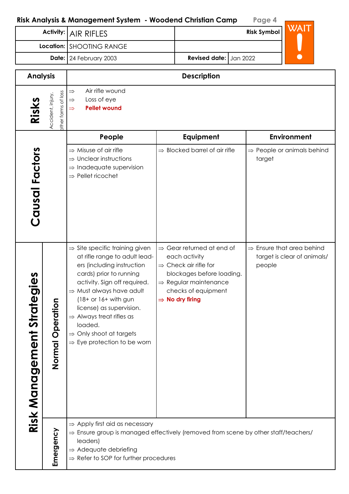|                                    |                                          | <u>kisk Andiysis &amp; Management System  - woodend Christian Camp</u>                                                                                                                                                                                                                                                                                                                                   |  |                                                                                                                                                                                                                     | rage 4             |                                                                      |  |
|------------------------------------|------------------------------------------|----------------------------------------------------------------------------------------------------------------------------------------------------------------------------------------------------------------------------------------------------------------------------------------------------------------------------------------------------------------------------------------------------------|--|---------------------------------------------------------------------------------------------------------------------------------------------------------------------------------------------------------------------|--------------------|----------------------------------------------------------------------|--|
|                                    | <b>Activity:</b>                         | <b>AIR RIFLES</b>                                                                                                                                                                                                                                                                                                                                                                                        |  |                                                                                                                                                                                                                     | <b>Risk Symbol</b> | <b>WAIT</b>                                                          |  |
|                                    |                                          | Location: SHOOTING RANGE                                                                                                                                                                                                                                                                                                                                                                                 |  |                                                                                                                                                                                                                     |                    |                                                                      |  |
|                                    |                                          | Date: 24 February 2003                                                                                                                                                                                                                                                                                                                                                                                   |  | <b>Revised date:</b><br>Jan 2022                                                                                                                                                                                    |                    |                                                                      |  |
| <b>Analysis</b>                    |                                          |                                                                                                                                                                                                                                                                                                                                                                                                          |  | <b>Description</b>                                                                                                                                                                                                  |                    |                                                                      |  |
| Risks                              | other forms of loss<br>Accident, injury, | Air rifle wound<br>$\Rightarrow$<br>Loss of eye<br>$\Rightarrow$<br><b>Pellet wound</b><br>$\Rightarrow$                                                                                                                                                                                                                                                                                                 |  |                                                                                                                                                                                                                     |                    |                                                                      |  |
|                                    |                                          | People                                                                                                                                                                                                                                                                                                                                                                                                   |  | Equipment                                                                                                                                                                                                           |                    | <b>Environment</b>                                                   |  |
| Causal Factors                     |                                          | $\Rightarrow$ Misuse of air rifle<br>Unclear instructions<br>$\Rightarrow$<br>$\Rightarrow$ Inadequate supervision<br>$\Rightarrow$ Pellet ricochet                                                                                                                                                                                                                                                      |  | $\Rightarrow$ Blocked barrel of air rifle                                                                                                                                                                           | target             | $\Rightarrow$ People or animals behind                               |  |
| n<br>Φ<br>Risk Management Strategi | Operation<br>Normal                      | $\Rightarrow$ Site specific training given<br>at rifle range to adult lead-<br>ers (including instruction<br>cards) prior to running<br>activity. Sign off required.<br>$\Rightarrow$ Must always have adult<br>$(18+ or 16+ with gun)$<br>license) as supervision.<br>$\Rightarrow$ Always treat rifles as<br>loaded.<br>$\Rightarrow$ Only shoot at targets<br>$\Rightarrow$ Eye protection to be worn |  | $\Rightarrow$ Gear returned at end of<br>each activity<br>$\Rightarrow$ Check air rifle for<br>blockages before loading.<br>$\Rightarrow$ Regular maintenance<br>checks of equipment<br>$\Rightarrow$ No dry firing | people             | $\Rightarrow$ Ensure that area behind<br>target is clear of animals/ |  |
|                                    | Emergency                                | $\Rightarrow$ Apply first aid as necessary<br>$\Rightarrow$ Ensure group is managed effectively (removed from scene by other staff/teachers/<br>leaders)<br>$\Rightarrow$ Adequate debriefing<br>$\Rightarrow$ Refer to SOP for further procedures                                                                                                                                                       |  |                                                                                                                                                                                                                     |                    |                                                                      |  |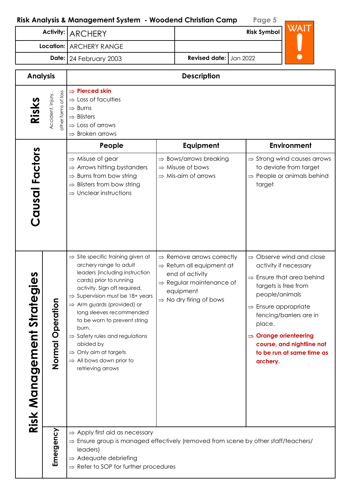Activity: ARCHERY

| rage 5             |      |
|--------------------|------|
| <b>Risk Symbol</b> | WAIT |
|                    |      |
| 022                |      |
|                    |      |

|                                |                                          | Location:   ARCHERY RANGE                                                                                                                                                                                                                                                                                                                                                                                                                                                                       |  |                                                                                                                                                                                               |  |                                                                                                                                       |                                                                                                                                                                                             |  |  |
|--------------------------------|------------------------------------------|-------------------------------------------------------------------------------------------------------------------------------------------------------------------------------------------------------------------------------------------------------------------------------------------------------------------------------------------------------------------------------------------------------------------------------------------------------------------------------------------------|--|-----------------------------------------------------------------------------------------------------------------------------------------------------------------------------------------------|--|---------------------------------------------------------------------------------------------------------------------------------------|---------------------------------------------------------------------------------------------------------------------------------------------------------------------------------------------|--|--|
|                                |                                          | Revised date: Jan 2022<br>Date: 24 February 2003                                                                                                                                                                                                                                                                                                                                                                                                                                                |  |                                                                                                                                                                                               |  |                                                                                                                                       |                                                                                                                                                                                             |  |  |
| <b>Analysis</b>                |                                          | <b>Description</b>                                                                                                                                                                                                                                                                                                                                                                                                                                                                              |  |                                                                                                                                                                                               |  |                                                                                                                                       |                                                                                                                                                                                             |  |  |
| Risks                          | other forms of loss<br>Accident, injury, | $\Rightarrow$ Pierced skin<br>$\Rightarrow$ Loss of faculties<br>$\Rightarrow$ Burns<br>$\Rightarrow$ Blisters<br>$\Rightarrow$ Loss of arrows<br>$\Rightarrow$ Broken arrows                                                                                                                                                                                                                                                                                                                   |  |                                                                                                                                                                                               |  |                                                                                                                                       |                                                                                                                                                                                             |  |  |
|                                |                                          | People                                                                                                                                                                                                                                                                                                                                                                                                                                                                                          |  | Equipment                                                                                                                                                                                     |  |                                                                                                                                       | <b>Environment</b>                                                                                                                                                                          |  |  |
| Causal Factors                 |                                          | $\Rightarrow$ Misuse of gear<br>$\Rightarrow$ Arrows hitting bystanders<br>$\Rightarrow$ Burns from bow string<br>$\Rightarrow$ Blisters from bow string<br>$\Rightarrow$ Unclear instructions                                                                                                                                                                                                                                                                                                  |  | $\Rightarrow$ Bows/arrows breaking<br>$\Rightarrow$ Misuse of bows<br>$\Rightarrow$ Mis-aim of arrows                                                                                         |  | target                                                                                                                                | $\Rightarrow$ Strong wind causes arrows<br>to deviate from target<br>$\Rightarrow$ People or animals behind                                                                                 |  |  |
| regies<br>Risk Management Stra | c<br>Operatio<br>Normal                  | $\Rightarrow$ Site specific training given at<br>archery range to adult<br>leaders (including instruction<br>cards) prior to running<br>activity. Sign off required.<br>$\Rightarrow$ Supervision must be 18+ years<br>$\Rightarrow$ Arm guards (provided) or<br>long sleeves recommended<br>to be worn to prevent string<br>burn.<br>$\Rightarrow$ Safety rules and regulations<br>abided by<br>$\Rightarrow$ Only aim at targets<br>$\Rightarrow$ All bows down prior to<br>retrieving arrows |  | $\Rightarrow$ Remove arrows correctly<br>$\Rightarrow$ Return all equipment at<br>end of activity<br>$\Rightarrow$ Regular maintenance of<br>equipment<br>$\Rightarrow$ No dry firing of bows |  | targets is free from<br>people/animals<br>$\Rightarrow$ Ensure appropriate<br>place.<br>$\Rightarrow$ Orange orienteering<br>archery. | $\Rightarrow$ Observe wind and close<br>activity if necessary<br>$\Rightarrow$ Ensure that area behind<br>fencing/barriers are in<br>course, and nightline not<br>to be run at same time as |  |  |
|                                | Emergency                                | $\Rightarrow$ Apply first aid as necessary<br>$\Rightarrow$ Ensure group is managed effectively (removed from scene by other staff/teachers/<br>leaders)<br>$\Rightarrow$ Adequate debriefing<br>$\Rightarrow$ Refer to SOP for further procedures                                                                                                                                                                                                                                              |  |                                                                                                                                                                                               |  |                                                                                                                                       |                                                                                                                                                                                             |  |  |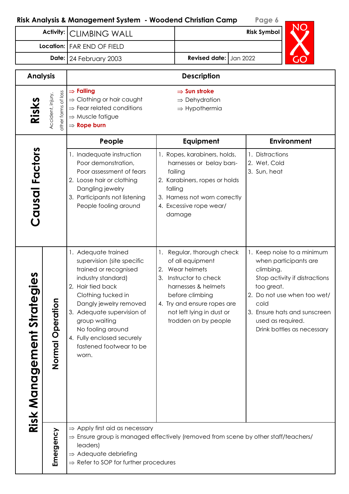| Activity:                                |                                          | <b>CLIMBING WALL</b>                                                                                                                                                                                                                                                                                        |                        |                                                                                                                                                                                                                     | <b>Risk Symbol</b>                                   |                                                                                                                                                                                   |
|------------------------------------------|------------------------------------------|-------------------------------------------------------------------------------------------------------------------------------------------------------------------------------------------------------------------------------------------------------------------------------------------------------------|------------------------|---------------------------------------------------------------------------------------------------------------------------------------------------------------------------------------------------------------------|------------------------------------------------------|-----------------------------------------------------------------------------------------------------------------------------------------------------------------------------------|
| Location:   FAR END OF FIELD             |                                          |                                                                                                                                                                                                                                                                                                             |                        |                                                                                                                                                                                                                     |                                                      |                                                                                                                                                                                   |
| Date: 24 February 2003                   |                                          |                                                                                                                                                                                                                                                                                                             | Revised date: Jan 2022 |                                                                                                                                                                                                                     |                                                      |                                                                                                                                                                                   |
| <b>Analysis</b>                          |                                          |                                                                                                                                                                                                                                                                                                             |                        | <b>Description</b>                                                                                                                                                                                                  |                                                      |                                                                                                                                                                                   |
| Risks                                    | other forms of loss<br>Accident, injury, | $\Rightarrow$ Falling<br>$\Rightarrow$ Clothing or hair caught<br>$\Rightarrow$ Fear related conditions<br>$\Rightarrow$ Muscle fatigue<br>$\Rightarrow$ Rope burn                                                                                                                                          |                        | $\Rightarrow$ Sun stroke<br>$\Rightarrow$ Dehydration<br>$\Rightarrow$ Hypothermia                                                                                                                                  |                                                      |                                                                                                                                                                                   |
|                                          |                                          | People                                                                                                                                                                                                                                                                                                      |                        | Equipment                                                                                                                                                                                                           |                                                      | Environment                                                                                                                                                                       |
| Causal Factors                           |                                          | 1. Inadequate instruction<br>Poor demonstration,<br>Poor assessment of fears<br>2. Loose hair or clothing<br>Dangling jewelry<br>3. Participants not listening<br>People fooling around                                                                                                                     |                        | 1. Ropes, karabiners, holds,<br>harnesses or belay bars-<br>failing<br>2. Karabiners, ropes or holds<br>falling<br>3. Harness not worn correctly<br>4. Excessive rope wear/<br>damage                               | 1. Distractions<br>2. Wet, Cold<br>3. Sun, heat      |                                                                                                                                                                                   |
| n<br>Φ<br><b>Risk Management Strateg</b> | Operation<br>Normal                      | 1. Adequate trained<br>supervision (site specific<br>trained or recognised<br>industry standard)<br>2, Hair tied back<br>Clothing tucked in<br>Dangly jewelry removed<br>3. Adequate supervision of<br>group waiting<br>No fooling around<br>4. Fully enclosed securely<br>fastened footwear to be<br>worn. | 3.                     | Regular, thorough check<br>of all equipment<br>2. Wear helmets<br>Instructor to check<br>harnesses & helmets<br>before climbing<br>4. Try and ensure ropes are<br>not left lying in dust or<br>trodden on by people | climbing.<br>too great.<br>cold<br>used as required. | 1. Keep noise to a minimum<br>when participants are<br>Stop activity if distractions<br>2. Do not use when too wet/<br>3. Ensure hats and sunscreen<br>Drink bottles as necessary |
|                                          | Emergency                                | $\Rightarrow$ Apply first aid as necessary<br>$\Rightarrow$ Ensure group is managed effectively (removed from scene by other staff/teachers/<br>leaders)<br>$\Rightarrow$ Adequate debriefing<br>$\Rightarrow$ Refer to SOP for further procedures                                                          |                        |                                                                                                                                                                                                                     |                                                      |                                                                                                                                                                                   |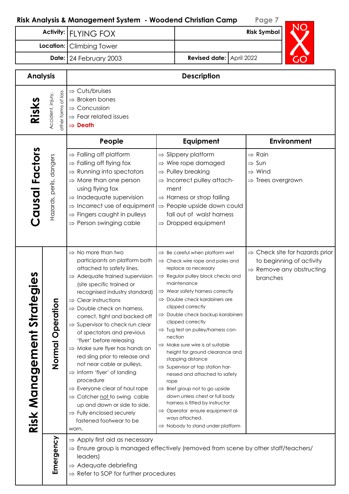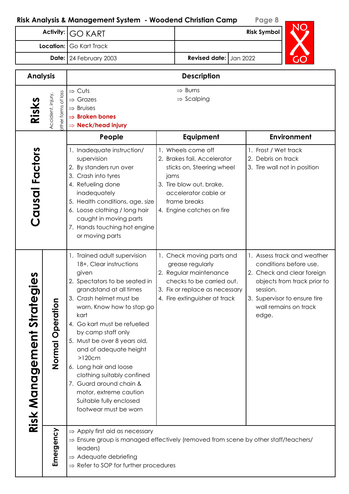|                                                                                                                                                                                                | <b>Activity:</b>        | ,,, a managoment opplem<br><b>GO KART</b>                                                                                                                                                                                                                                                                                                                                                                                                                                                 |      |                                                                                                                                                                                 | . ugu<br><b>Risk Symbol</b>                                                                                                                                                                      |
|------------------------------------------------------------------------------------------------------------------------------------------------------------------------------------------------|-------------------------|-------------------------------------------------------------------------------------------------------------------------------------------------------------------------------------------------------------------------------------------------------------------------------------------------------------------------------------------------------------------------------------------------------------------------------------------------------------------------------------------|------|---------------------------------------------------------------------------------------------------------------------------------------------------------------------------------|--------------------------------------------------------------------------------------------------------------------------------------------------------------------------------------------------|
|                                                                                                                                                                                                | Location: Go Kart Track |                                                                                                                                                                                                                                                                                                                                                                                                                                                                                           |      |                                                                                                                                                                                 |                                                                                                                                                                                                  |
|                                                                                                                                                                                                | Date:                   | 24 February 2003                                                                                                                                                                                                                                                                                                                                                                                                                                                                          |      | Revised date: Jan 2022                                                                                                                                                          |                                                                                                                                                                                                  |
| <b>Analysis</b>                                                                                                                                                                                |                         |                                                                                                                                                                                                                                                                                                                                                                                                                                                                                           |      | <b>Description</b>                                                                                                                                                              |                                                                                                                                                                                                  |
| $\Rightarrow$ Cuts<br>ther forms of loss<br>Accident, injury,<br>$\Rightarrow$ Grazes<br><b>Risk:</b><br>$\Rightarrow$ Bruises<br>$\Rightarrow$ Broken bones<br>$\Rightarrow$ Neck/head injury |                         |                                                                                                                                                                                                                                                                                                                                                                                                                                                                                           |      | $\Rightarrow$ Burns<br>$\Rightarrow$ Scalping                                                                                                                                   |                                                                                                                                                                                                  |
|                                                                                                                                                                                                |                         | People                                                                                                                                                                                                                                                                                                                                                                                                                                                                                    |      | Equipment                                                                                                                                                                       | Environment                                                                                                                                                                                      |
| Causal Factors                                                                                                                                                                                 |                         | 1. Inadequate instruction/<br>supervision<br>2. By standers run over<br>3. Crash into tyres<br>4. Refueling done<br>inadequately<br>5. Health conditions, age, size<br>6. Loose clothing / long hair<br>caught in moving parts<br>7. Hands touching hot engine<br>or moving parts                                                                                                                                                                                                         | jams | 1. Wheels come off<br>2. Brakes fail, Accelerator<br>sticks on, Steering wheel<br>3. Tire blow out, brake,<br>accelerator cable or<br>frame breaks<br>4. Engine catches on fire | 1. Frost / Wet track<br>2. Debris on track<br>3. Tire wall not in position                                                                                                                       |
| n<br>Φ<br>Risk Management Strategi                                                                                                                                                             | Normal Operation        | 1. Trained adult supervision<br>18+, Clear instructions<br>given<br>2. Spectators to be seated in<br>grandstand at all times<br>3. Crash helmet must be<br>worn, Know how to stop go<br>kart<br>4. Go kart must be refuelled<br>by camp staff only<br>5. Must be over 8 years old,<br>and of adequate height<br>$>120cm$<br>6. Long hair and loose<br>clothing suitably confined<br>7. Guard around chain &<br>motor, extreme caution<br>Suitable fully enclosed<br>footwear must be worn |      | 1. Check moving parts and<br>grease regularly<br>2. Regular maintenance<br>checks to be carried out.<br>3. Fix or replace as necessary<br>4. Fire extinguisher at track         | 1. Assess track and weather<br>conditions before use.<br>2. Check and clear foreign<br>objects from track prior to<br>session.<br>3. Supervisor to ensure tire<br>wall remains on track<br>edge. |
|                                                                                                                                                                                                | Emergency               | $\Rightarrow$ Apply first aid as necessary<br>$\Rightarrow$ Ensure group is managed effectively (removed from scene by other staff/teachers/<br>leaders)<br>$\Rightarrow$ Adequate debriefing<br>$\Rightarrow$ Refer to SOP for further procedures                                                                                                                                                                                                                                        |      |                                                                                                                                                                                 |                                                                                                                                                                                                  |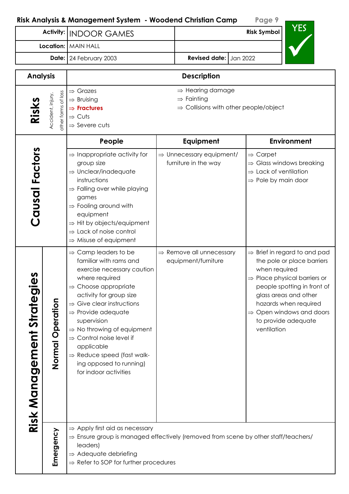|                                                                                                                                                                                   | NISK ANGlysis & Management sysiem – Noodend Christian Camp                                                                                                                                                                                                                                                                                                                                                                                                        |  |                                                                                                             | <u>, ugu</u>         | <b>YES</b>                                                                                                                                                                                                                                                                          |  |
|-----------------------------------------------------------------------------------------------------------------------------------------------------------------------------------|-------------------------------------------------------------------------------------------------------------------------------------------------------------------------------------------------------------------------------------------------------------------------------------------------------------------------------------------------------------------------------------------------------------------------------------------------------------------|--|-------------------------------------------------------------------------------------------------------------|----------------------|-------------------------------------------------------------------------------------------------------------------------------------------------------------------------------------------------------------------------------------------------------------------------------------|--|
|                                                                                                                                                                                   | Activity:   INDOOR GAMES                                                                                                                                                                                                                                                                                                                                                                                                                                          |  | <b>Risk Symbol</b>                                                                                          |                      |                                                                                                                                                                                                                                                                                     |  |
|                                                                                                                                                                                   | <b>Location:</b> MAIN HALL                                                                                                                                                                                                                                                                                                                                                                                                                                        |  |                                                                                                             |                      |                                                                                                                                                                                                                                                                                     |  |
|                                                                                                                                                                                   | Date: 24 February 2003                                                                                                                                                                                                                                                                                                                                                                                                                                            |  | <b>Revised date:</b><br>Jan 2022                                                                            |                      |                                                                                                                                                                                                                                                                                     |  |
| <b>Analysis</b>                                                                                                                                                                   |                                                                                                                                                                                                                                                                                                                                                                                                                                                                   |  | <b>Description</b>                                                                                          |                      |                                                                                                                                                                                                                                                                                     |  |
| $\Rightarrow$ Grazes<br>other forms of loss<br>Accident, injury.<br>$\Rightarrow$ Bruising<br>Risks<br>$\Rightarrow$ Fractures<br>$\Rightarrow$ Cuts<br>$\Rightarrow$ Severe cuts |                                                                                                                                                                                                                                                                                                                                                                                                                                                                   |  | $\Rightarrow$ Hearing damage<br>$\Rightarrow$ Fainting<br>$\Rightarrow$ Collisions with other people/object |                      |                                                                                                                                                                                                                                                                                     |  |
|                                                                                                                                                                                   | People                                                                                                                                                                                                                                                                                                                                                                                                                                                            |  | Equipment                                                                                                   |                      | <b>Environment</b>                                                                                                                                                                                                                                                                  |  |
| Causal Factors                                                                                                                                                                    | $\Rightarrow$ Inappropriate activity for<br>group size<br>$\Rightarrow$ Unclear/inadequate<br>instructions<br>$\Rightarrow$ Falling over while playing<br>games<br>$\Rightarrow$ Fooling around with<br>equipment<br>$\Rightarrow$ Hit by objects/equipment<br>$\Rightarrow$ Lack of noise control<br>$\Rightarrow$ Misuse of equipment                                                                                                                           |  | $\Rightarrow$ Unnecessary equipment/<br>furniture in the way                                                | $\Rightarrow$ Carpet | $\Rightarrow$ Glass windows breaking<br>$\Rightarrow$ Lack of ventilation<br>$\Rightarrow$ Pole by main door                                                                                                                                                                        |  |
| n<br>Φ<br>Risk Management Strategi<br>Normal Operation                                                                                                                            | $\Rightarrow$ Camp leaders to be<br>familiar with rams and<br>exercise necessary caution<br>where required<br>$\Rightarrow$ Choose appropriate<br>activity for group size<br>$\Rightarrow$ Give clear instructions<br>$\Rightarrow$ Provide adequate<br>supervision<br>$\Rightarrow$ No throwing of equipment<br>$\Rightarrow$ Control noise level if<br>applicable<br>$\Rightarrow$ Reduce speed (fast walk-<br>ing opposed to running)<br>for indoor activities |  | $\Rightarrow$ Remove all unnecessary<br>equipment/furniture                                                 | ventilation          | $\Rightarrow$ Brief in regard to and pad<br>the pole or place barriers<br>when required<br>$\Rightarrow$ Place physical barriers or<br>people spotting in front of<br>glass areas and other<br>hazards when required<br>$\Rightarrow$ Open windows and doors<br>to provide adequate |  |
| Emergency                                                                                                                                                                         | $\Rightarrow$ Apply first aid as necessary<br>$\Rightarrow$ Ensure group is managed effectively (removed from scene by other staff/teachers/<br>leaders)<br>$\Rightarrow$ Adequate debriefing<br>$\Rightarrow$ Refer to SOP for further procedures                                                                                                                                                                                                                |  |                                                                                                             |                      |                                                                                                                                                                                                                                                                                     |  |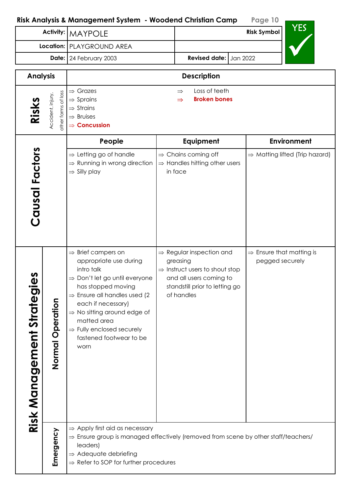$VFC$ 

| <b>Activity:</b>                                           | <b>MAYPOLE</b>                                                                                                                                                                                                                                                                                                                                     |                      |                                                                                                                                                                           |  | נם ו<br><b>Risk Symbol</b>                              |
|------------------------------------------------------------|----------------------------------------------------------------------------------------------------------------------------------------------------------------------------------------------------------------------------------------------------------------------------------------------------------------------------------------------------|----------------------|---------------------------------------------------------------------------------------------------------------------------------------------------------------------------|--|---------------------------------------------------------|
|                                                            | Location:   PLAYGROUND AREA                                                                                                                                                                                                                                                                                                                        |                      |                                                                                                                                                                           |  |                                                         |
|                                                            | Date: 24 February 2003                                                                                                                                                                                                                                                                                                                             | <b>Revised date:</b> | Jan 2022                                                                                                                                                                  |  |                                                         |
| <b>Analysis</b>                                            |                                                                                                                                                                                                                                                                                                                                                    |                      | <b>Description</b>                                                                                                                                                        |  |                                                         |
| other forms of loss<br>Accident, injury,<br>Risks          | $\Rightarrow$ Grazes<br>$\Rightarrow$ Sprains<br>$\Rightarrow$ Strains<br>$\Rightarrow$ Bruises<br>$\Rightarrow$ Concussion                                                                                                                                                                                                                        |                      | Loss of teeth<br>$\Rightarrow$<br><b>Broken bones</b><br>$\Rightarrow$                                                                                                    |  |                                                         |
|                                                            | People                                                                                                                                                                                                                                                                                                                                             |                      | Equipment                                                                                                                                                                 |  | <b>Environment</b>                                      |
| Causal Factors                                             | $\Rightarrow$ Letting go of handle<br>$\Rightarrow$ Running in wrong direction<br>$\Rightarrow$ Silly play                                                                                                                                                                                                                                         |                      | $\Rightarrow$ Chains coming off<br>$\Rightarrow$ Handles hitting other users<br>in face                                                                                   |  | $\Rightarrow$ Matting lifted (Trip hazard)              |
| <u>SPII</u><br>Risk Management Strateg<br>Normal Operation | $\Rightarrow$ Brief campers on<br>appropriate use during<br>intro talk<br>$\Rightarrow$ Don't let go until everyone<br>has stopped moving<br>$\Rightarrow$ Ensure all handles used (2)<br>each if necessary)<br>$\Rightarrow$ No sitting around edge of<br>matted area<br>$\Rightarrow$ Fully enclosed securely<br>fastened footwear to be<br>worn |                      | $\Rightarrow$ Regular inspection and<br>greasing<br>$\Rightarrow$ Instruct users to shout stop<br>and all users coming to<br>standstill prior to letting go<br>of handles |  | $\Rightarrow$ Ensure that matting is<br>pegged securely |
| Emergency                                                  | $\Rightarrow$ Apply first aid as necessary<br>$\Rightarrow$ Ensure group is managed effectively (removed from scene by other staff/teachers/<br>leaders)<br>$\Rightarrow$ Adequate debriefing<br>$\Rightarrow$ Refer to SOP for further procedures                                                                                                 |                      |                                                                                                                                                                           |  |                                                         |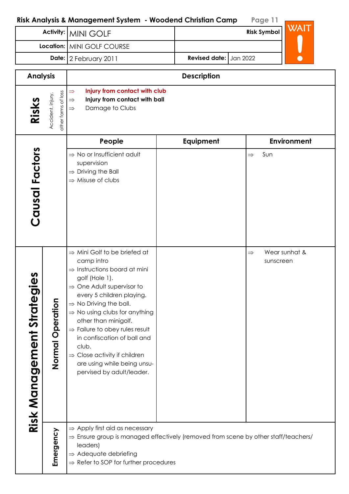$\Gamma$ 

|                                                                     | Activity:                                | <b>MINI GOLF</b>                                                                                                                                                                                                                                                                                                                                                                                                                                                                                    |                        | <b>Risk Symbol</b>         | WAIT               |
|---------------------------------------------------------------------|------------------------------------------|-----------------------------------------------------------------------------------------------------------------------------------------------------------------------------------------------------------------------------------------------------------------------------------------------------------------------------------------------------------------------------------------------------------------------------------------------------------------------------------------------------|------------------------|----------------------------|--------------------|
|                                                                     | Location:                                | MINI GOLF COURSE                                                                                                                                                                                                                                                                                                                                                                                                                                                                                    |                        |                            |                    |
|                                                                     |                                          | Date: 2 February 2011                                                                                                                                                                                                                                                                                                                                                                                                                                                                               | Revised date: Jan 2022 |                            |                    |
| <b>Analysis</b>                                                     |                                          |                                                                                                                                                                                                                                                                                                                                                                                                                                                                                                     | <b>Description</b>     |                            |                    |
| Risks                                                               | other forms of loss<br>Accident, injury, | Injury from contact with club<br>$\Rightarrow$<br>Injury from contact with ball<br>$\Rightarrow$<br>Damage to Clubs<br>$\Rightarrow$                                                                                                                                                                                                                                                                                                                                                                |                        |                            |                    |
|                                                                     |                                          | People                                                                                                                                                                                                                                                                                                                                                                                                                                                                                              | Equipment              |                            | <b>Environment</b> |
| Causal Factors                                                      |                                          | $\Rightarrow$ No or Insufficient adult<br>supervision<br>$\Rightarrow$ Driving the Ball<br>$\Rightarrow$ Misuse of clubs                                                                                                                                                                                                                                                                                                                                                                            |                        | Sun<br>$\Rightarrow$       |                    |
| n<br>O<br>$\bullet$ and $\bullet$<br><b>Risk Management Strateg</b> | Operation<br>Normal                      | $\Rightarrow$ Mini Golf to be briefed at<br>camp intro<br>$\Rightarrow$ Instructions board at mini<br>golf (Hole 1).<br>$\Rightarrow$ One Adult supervisor to<br>every 5 children playing.<br>$\Rightarrow$ No Driving the ball.<br>$\Rightarrow$ No using clubs for anything<br>other than minigolf.<br>$\Rightarrow$ Failure to obey rules result<br>in confiscation of ball and<br>club.<br>$\Rightarrow$ Close activity if children<br>are using while being unsu-<br>pervised by adult/leader. |                        | $\Rightarrow$<br>sunscreen | Wear sunhat &      |
|                                                                     | Emergency                                | $\Rightarrow$ Apply first aid as necessary<br>$\Rightarrow$ Ensure group is managed effectively (removed from scene by other staff/teachers/<br>leaders)<br>$\Rightarrow$ Adequate debriefing<br>$\Rightarrow$ Refer to SOP for further procedures                                                                                                                                                                                                                                                  |                        |                            |                    |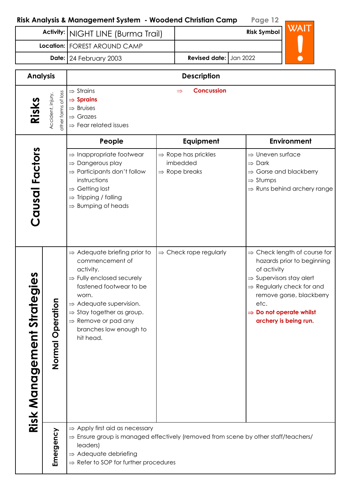|                                          |                                          | Activity:   NIGHT LINE (Burma Trail)                                                                                                                                                                                                                                                                            |  |                                                                          | <b>Risk Symbol</b>                                                                                 | WAIT                                                                                                                                                                 |
|------------------------------------------|------------------------------------------|-----------------------------------------------------------------------------------------------------------------------------------------------------------------------------------------------------------------------------------------------------------------------------------------------------------------|--|--------------------------------------------------------------------------|----------------------------------------------------------------------------------------------------|----------------------------------------------------------------------------------------------------------------------------------------------------------------------|
|                                          |                                          | Location:   FOREST AROUND CAMP                                                                                                                                                                                                                                                                                  |  |                                                                          |                                                                                                    |                                                                                                                                                                      |
| Date: 24 February 2003                   |                                          |                                                                                                                                                                                                                                                                                                                 |  | <b>Revised date:</b> Jan 2022                                            |                                                                                                    |                                                                                                                                                                      |
| <b>Analysis</b>                          |                                          |                                                                                                                                                                                                                                                                                                                 |  | <b>Description</b>                                                       |                                                                                                    |                                                                                                                                                                      |
| Risks                                    | other forms of loss<br>Accident, injury, | $\Rightarrow$ Strains<br>$\Rightarrow$ Sprains<br>$\Rightarrow$ Bruises<br>$\Rightarrow$ Grazes<br>$\Rightarrow$ Fear related issues                                                                                                                                                                            |  |                                                                          |                                                                                                    |                                                                                                                                                                      |
|                                          |                                          | People                                                                                                                                                                                                                                                                                                          |  | Equipment                                                                |                                                                                                    | <b>Environment</b>                                                                                                                                                   |
| Causal Factors                           |                                          | $\Rightarrow$ Inappropriate footwear<br>$\Rightarrow$ Dangerous play<br>$\Rightarrow$ Participants don't follow<br>instructions<br>$\Rightarrow$ Getting lost<br>$\Rightarrow$ Tripping / falling<br>$\Rightarrow$ Bumping of heads                                                                             |  | $\Rightarrow$ Rope has prickles<br>imbedded<br>$\Rightarrow$ Rope breaks | $\Rightarrow$ Uneven surface<br>$\Rightarrow$ Dark<br>$\Rightarrow$ Stumps                         | $\Rightarrow$ Gorse and blackberry<br>$\Rightarrow$ Runs behind archery range                                                                                        |
| n<br>Φ<br><b>Risk Management Strateg</b> | Operation<br>Normal                      | $\Rightarrow$ Adequate briefing prior to<br>commencement of<br>activity.<br>$\Rightarrow$ Fully enclosed securely<br>fastened footwear to be<br>worn.<br>$\Rightarrow$ Adequate supervision.<br>$\Rightarrow$ Stay together as group.<br>$\Rightarrow$ Remove or pad any<br>branches low enough to<br>hit head. |  | $\Rightarrow$ Check rope regularly                                       | of activity<br>$\Rightarrow$ Supervisors stay alert<br>etc.<br>$\Rightarrow$ Do not operate whilst | $\Rightarrow$ Check length of course for<br>hazards prior to beginning<br>$\Rightarrow$ Regularly check for and<br>remove gorse, blackberry<br>archery is being run. |
|                                          | Emergency                                | $\Rightarrow$ Apply first aid as necessary<br>$\Rightarrow$ Ensure group is managed effectively (removed from scene by other staff/teachers/<br>leaders)<br>$\Rightarrow$ Adequate debriefing<br>$\Rightarrow$ Refer to SOP for further procedures                                                              |  |                                                                          |                                                                                                    |                                                                                                                                                                      |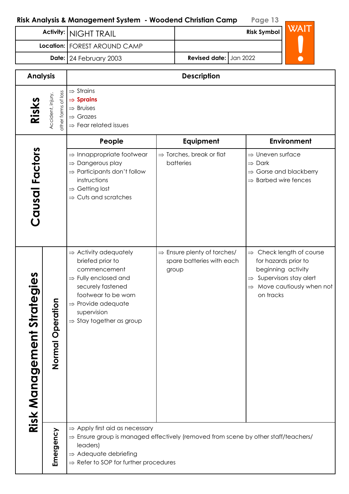|                                                     | k Andlysis & Mandgement System  - woodend Christian Camp                                                                             |                      | rage is  |  |
|-----------------------------------------------------|--------------------------------------------------------------------------------------------------------------------------------------|----------------------|----------|--|
|                                                     | Activity:   NIGHT TRAIL                                                                                                              |                      | WAIT     |  |
|                                                     | Location:   FOREST AROUND CAMP                                                                                                       |                      |          |  |
|                                                     | Date: 24 February 2003                                                                                                               | <b>Revised date:</b> | Jan 2022 |  |
| <b>Analysis</b>                                     |                                                                                                                                      | <b>Description</b>   |          |  |
| of loss<br>ccident, injury,<br>Risks<br>other forms | $\Rightarrow$ Strains<br>$\Rightarrow$ Sprains<br>$\Rightarrow$ Bruises<br>$\Rightarrow$ Grazes<br>$\Rightarrow$ Fear related issues |                      |          |  |

| 它                              | Accide<br>other fo                                                                             | $\Rightarrow$ Grazes<br>$\Rightarrow$ Fear related issues                                                                                                                                                                                      |                                                                               |                                                                                                                                                                                            |
|--------------------------------|------------------------------------------------------------------------------------------------|------------------------------------------------------------------------------------------------------------------------------------------------------------------------------------------------------------------------------------------------|-------------------------------------------------------------------------------|--------------------------------------------------------------------------------------------------------------------------------------------------------------------------------------------|
|                                |                                                                                                | People                                                                                                                                                                                                                                         | Equipment                                                                     | <b>Environment</b>                                                                                                                                                                         |
| Causal Factors                 |                                                                                                | $\Rightarrow$ Innappropriate footwear<br>$\Rightarrow$ Dangerous play<br>$\Rightarrow$ Participants don't follow<br>instructions<br>$\Rightarrow$ Getting lost<br>$\Rightarrow$ Cuts and scratches                                             | $\Rightarrow$ Torches, break or flat<br>batteries                             | $\Rightarrow$ Uneven surface<br>$\Rightarrow$ Dark<br>$\Rightarrow$ Gorse and blackberry<br>$\Rightarrow$ Barbed wire fences                                                               |
| gement Strategies<br>Risk Mana | Normal Operation                                                                               | $\Rightarrow$ Activity adequately<br>briefed prior to<br>commencement<br>$\Rightarrow$ Fully enclosed and<br>securely fastened<br>footwear to be worn<br>$\Rightarrow$ Provide adequate<br>supervision<br>$\Rightarrow$ Stay together as group | $\Rightarrow$ Ensure plenty of torches/<br>spare batteries with each<br>group | Check length of course<br>$\Rightarrow$<br>for hazards prior to<br>beginning activity<br>Supervisors stay alert<br>$\Rightarrow$<br>Move cautiously when not<br>$\Rightarrow$<br>on tracks |
|                                | $\Rightarrow$ Ensure group is managed effectively (removed from scene by other staff/teachers/ |                                                                                                                                                                                                                                                |                                                                               |                                                                                                                                                                                            |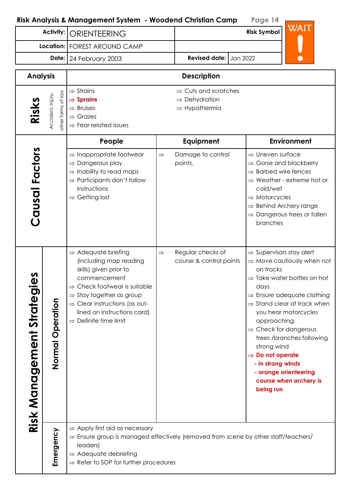| Activity:                                                                                                                                                                                 |                     | <b>ORIENTEERING</b>                                                                                                                                                                                                                                                                                      |                                                                                            | WAIT<br><b>Risk Symbol</b>                   |                                                                                                                                                                                                                                                                                                                                                                                                                                                                                   |  |
|-------------------------------------------------------------------------------------------------------------------------------------------------------------------------------------------|---------------------|----------------------------------------------------------------------------------------------------------------------------------------------------------------------------------------------------------------------------------------------------------------------------------------------------------|--------------------------------------------------------------------------------------------|----------------------------------------------|-----------------------------------------------------------------------------------------------------------------------------------------------------------------------------------------------------------------------------------------------------------------------------------------------------------------------------------------------------------------------------------------------------------------------------------------------------------------------------------|--|
|                                                                                                                                                                                           |                     | Location:   FOREST AROUND CAMP                                                                                                                                                                                                                                                                           |                                                                                            |                                              |                                                                                                                                                                                                                                                                                                                                                                                                                                                                                   |  |
|                                                                                                                                                                                           |                     | Date: 24 February 2003                                                                                                                                                                                                                                                                                   |                                                                                            | <b>Revised date:</b> Jan 2022                |                                                                                                                                                                                                                                                                                                                                                                                                                                                                                   |  |
| <b>Analysis</b>                                                                                                                                                                           |                     |                                                                                                                                                                                                                                                                                                          |                                                                                            | <b>Description</b>                           |                                                                                                                                                                                                                                                                                                                                                                                                                                                                                   |  |
| $\Rightarrow$ Strains<br>other forms of loss<br>Accident, injury,<br>$\Rightarrow$ Sprains<br>Risks<br>$\Rightarrow$ Bruises<br>$\Rightarrow$ Grazes<br>$\Rightarrow$ Fear related issues |                     |                                                                                                                                                                                                                                                                                                          | $\Rightarrow$ Cuts and scratches<br>$\Rightarrow$ Dehydration<br>$\Rightarrow$ Hypothermia |                                              |                                                                                                                                                                                                                                                                                                                                                                                                                                                                                   |  |
|                                                                                                                                                                                           |                     | People                                                                                                                                                                                                                                                                                                   |                                                                                            | Equipment                                    | <b>Environment</b>                                                                                                                                                                                                                                                                                                                                                                                                                                                                |  |
| Causal Factors                                                                                                                                                                            |                     | $\Rightarrow$ Inappropriate footwear<br>$\Rightarrow$ Dangerous play<br>$\Rightarrow$ Inability to read maps<br>$\Rightarrow$ Participants don't follow<br>instructions<br>$\Rightarrow$ Getting lost                                                                                                    | $\Rightarrow$                                                                              | Damage to control<br>points,                 | $\Rightarrow$ Uneven surface<br>$\Rightarrow$ Gorse and blackberry<br><b>Barbed wire fences</b><br>$\Rightarrow$ Weather - extreme hot or<br>cold/wet<br>$\Rightarrow$ Motorcycles<br>$\Rightarrow$ Behind Archery range<br>$\Rightarrow$ Dangerous trees or fallen<br>branches                                                                                                                                                                                                   |  |
| n<br>Φ<br><b>Risk Management Strateg</b>                                                                                                                                                  | Operation<br>Normal | $\Rightarrow$ Adequate briefing<br>(including map reading<br>skills) given prior to<br>commencement<br>$\Rightarrow$ Check footwear is suitable<br>$\Rightarrow$ Stay together as group<br>$\Rightarrow$ Clear instructions (as out-<br>lined on instructions card)<br>$\Rightarrow$ Definite time limit | $\Rightarrow$                                                                              | Regular checks of<br>course & control points | $\Rightarrow$ Supervisors stay alert<br>$\Rightarrow$ Move cautiously when not<br>on tracks<br>$\Rightarrow$ Take water bottles on hot<br>days<br>$\Rightarrow$ Ensure adequate clothing<br>$\Rightarrow$ Stand clear of track when<br>you hear motorcycles<br>approaching.<br>$\Rightarrow$ Check for dangerous<br>trees /branches following<br>strong wind<br>$\Rightarrow$ Do not operate<br>- in strong winds<br>- orange orienteering<br>course when archery is<br>being run |  |
|                                                                                                                                                                                           | Emergency           | $\Rightarrow$ Apply first aid as necessary<br>$\Rightarrow$ Ensure group is managed effectively (removed from scene by other staff/teachers/<br>leaders)<br>$\Rightarrow$ Adequate debriefing<br>$\Rightarrow$ Refer to SOP for further procedures                                                       |                                                                                            |                                              |                                                                                                                                                                                                                                                                                                                                                                                                                                                                                   |  |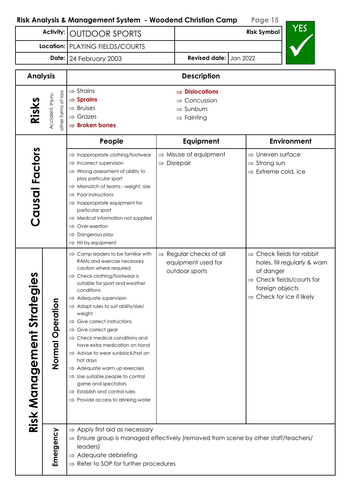| <b>Activity:</b><br><b>OUTDOOR SPORTS</b> |                                          |                                                                                                                                                                                                                                                                                                                                                                                                                                                                                                                                                                                                                                                                                                                                                   | YES<br><b>Risk Symbol</b> |                                                                                                           |                                                                                                                                                                           |
|-------------------------------------------|------------------------------------------|---------------------------------------------------------------------------------------------------------------------------------------------------------------------------------------------------------------------------------------------------------------------------------------------------------------------------------------------------------------------------------------------------------------------------------------------------------------------------------------------------------------------------------------------------------------------------------------------------------------------------------------------------------------------------------------------------------------------------------------------------|---------------------------|-----------------------------------------------------------------------------------------------------------|---------------------------------------------------------------------------------------------------------------------------------------------------------------------------|
|                                           | Location:                                | PLAYING FIELDS/COURTS                                                                                                                                                                                                                                                                                                                                                                                                                                                                                                                                                                                                                                                                                                                             |                           |                                                                                                           |                                                                                                                                                                           |
|                                           |                                          | Date: 24 February 2003                                                                                                                                                                                                                                                                                                                                                                                                                                                                                                                                                                                                                                                                                                                            |                           | <b>Revised date:</b> Jan 2022                                                                             |                                                                                                                                                                           |
| <b>Analysis</b>                           |                                          |                                                                                                                                                                                                                                                                                                                                                                                                                                                                                                                                                                                                                                                                                                                                                   |                           | <b>Description</b>                                                                                        |                                                                                                                                                                           |
| Risks                                     | other forms of loss<br>Accident, injury, | $\Rightarrow$ Strains<br>$\Rightarrow$ Sprains<br>$\Rightarrow$ Bruises<br>$\Rightarrow$ Grazes<br>$\Rightarrow$ Broken bones                                                                                                                                                                                                                                                                                                                                                                                                                                                                                                                                                                                                                     |                           | $\Rightarrow$ Dislocations<br>$\Rightarrow$ Concussion<br>$\Rightarrow$ Sunburn<br>$\Rightarrow$ Fainting |                                                                                                                                                                           |
|                                           |                                          | People                                                                                                                                                                                                                                                                                                                                                                                                                                                                                                                                                                                                                                                                                                                                            |                           | <b>Equipment</b>                                                                                          | <b>Environment</b>                                                                                                                                                        |
| Causal Factors                            |                                          | $\Rightarrow$ Inappropriate clothing/footwear<br>$\Rightarrow$ Incorrect supervision<br>$\Rightarrow$ Wrong assessment of ability to<br>play particular sport<br>$\Rightarrow$ Mismatch of teams - weight, size<br>$\Rightarrow$ Poor instructions<br>$\Rightarrow$ Inappropriate equipment for<br>particular sport<br>$\Rightarrow$ Medical information not supplied<br>$\Rightarrow$ Over-exertion<br>Dangerous play<br>$\Rightarrow$ Hit by equipment                                                                                                                                                                                                                                                                                          | $\Rightarrow$ Disrepair   | $\Rightarrow$ Misuse of equipment                                                                         | $\Rightarrow$ Uneven surface<br>$\Rightarrow$ Strong sun<br>$\Rightarrow$ Extreme cold, ice                                                                               |
| n<br>Φ<br>Risk Management Strateg         | Operation<br>Normal                      | $\Rightarrow$ Camp leaders to be familiar with<br>RAMs and exercise necessary<br>caution where required<br>$\Rightarrow$ Check clothing/footwear is<br>suitable for sport and weather<br>conditions<br>$\Rightarrow$ Adequate supervision<br>$\Rightarrow$ Adapt rules to suit ability/size/<br>weight<br>$\Rightarrow$ Give correct instructions<br>$\Rightarrow$ Give correct gear<br>$\Rightarrow$ Check medical conditions and<br>have extra medication on hand<br>$\Rightarrow$ Advise to wear sunblock/hat on<br>hot days<br>$\Rightarrow$ Adequate warm up exercises<br>$\Rightarrow$ Use suitable people to control<br>game and spectators<br>$\Rightarrow$ Establish and control rules<br>$\Rightarrow$ Provide access to drinking water |                           | $\Rightarrow$ Regular checks of all<br>equipment used for<br>outdoor sports                               | $\Rightarrow$ Check fields for rabbit<br>holes, fill regularly & warn<br>of danger<br>Check fields/courts for<br>foreign objects<br>$\Rightarrow$ Check for ice if likely |
|                                           | Emergency                                | $\Rightarrow$ Apply first aid as necessary<br>$\Rightarrow$ Ensure group is managed effectively (removed from scene by other staff/teachers/<br>leaders)<br>$\Rightarrow$ Adequate debriefing<br>$\Rightarrow$ Refer to SOP for further procedures                                                                                                                                                                                                                                                                                                                                                                                                                                                                                                |                           |                                                                                                           |                                                                                                                                                                           |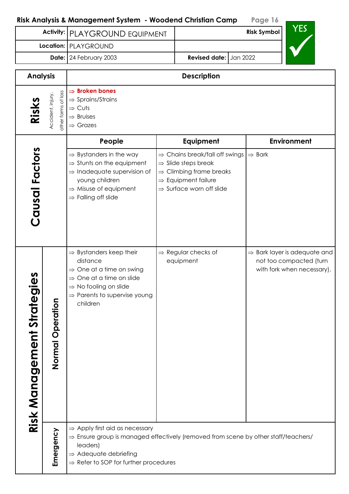|                              |                                          | Activity:   PLAYGROUND EQUIPMENT                                                                                                                                                                                                                   |  | <b>Risk Symbol</b>                                                                                                                                                                              |                    | 1 L.                                                                                              |
|------------------------------|------------------------------------------|----------------------------------------------------------------------------------------------------------------------------------------------------------------------------------------------------------------------------------------------------|--|-------------------------------------------------------------------------------------------------------------------------------------------------------------------------------------------------|--------------------|---------------------------------------------------------------------------------------------------|
|                              |                                          | Location:   PLAYGROUND                                                                                                                                                                                                                             |  |                                                                                                                                                                                                 |                    |                                                                                                   |
|                              |                                          | Date: 24 February 2003                                                                                                                                                                                                                             |  | <b>Revised date:</b> Jan 2022                                                                                                                                                                   |                    |                                                                                                   |
| <b>Analysis</b>              |                                          |                                                                                                                                                                                                                                                    |  | <b>Description</b>                                                                                                                                                                              |                    |                                                                                                   |
| Risks                        | other forms of loss<br>Accident, injury, | $\Rightarrow$ Broken bones<br>$\Rightarrow$ Sprains/Strains<br>$\Rightarrow$ Cuts<br>$\Rightarrow$ Bruises<br>$\Rightarrow$ Grazes                                                                                                                 |  |                                                                                                                                                                                                 |                    |                                                                                                   |
|                              |                                          | People                                                                                                                                                                                                                                             |  | Equipment                                                                                                                                                                                       |                    | <b>Environment</b>                                                                                |
| Causal Factors               |                                          | $\Rightarrow$ Bystanders in the way<br>$\Rightarrow$ Stunts on the equipment<br>$\Rightarrow$ Inadequate supervision of<br>young children<br>$\Rightarrow$ Misuse of equipment<br>$\Rightarrow$ Falling off slide                                  |  | $\Rightarrow$ Chains break/fall off swings<br>$\Rightarrow$ Slide steps break<br>$\Rightarrow$ Climbing frame breaks<br>$\Rightarrow$ Equipment failure<br>$\Rightarrow$ Surface worn off slide | $\Rightarrow$ Bark |                                                                                                   |
| N<br>Risk Management Strateg | Normal Operation                         | $\Rightarrow$ Bystanders keep their<br>distance<br>$\Rightarrow$ One at a time on swing<br>One at a time on slide<br>$\Rightarrow$ No fooling on slide<br>$\Rightarrow$ Parents to supervise young<br>children                                     |  | $\Rightarrow$ Regular checks of<br>equipment                                                                                                                                                    |                    | $\Rightarrow$ Bark layer is adequate and<br>not too compacted (turn<br>with fork when necessary). |
|                              | Emergency                                | $\Rightarrow$ Apply first aid as necessary<br>$\Rightarrow$ Ensure group is managed effectively (removed from scene by other staff/teachers/<br>leaders)<br>$\Rightarrow$ Adequate debriefing<br>$\Rightarrow$ Refer to SOP for further procedures |  |                                                                                                                                                                                                 |                    |                                                                                                   |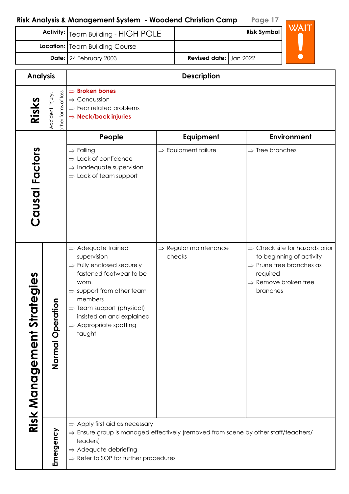|                                                                                                                                                                                                  |                     | Risk Analysis & Management System - Woodend Christian Camp                                                                                                                                                                                                                                           |                                             | Page 17                                                                                                                                                                    |
|--------------------------------------------------------------------------------------------------------------------------------------------------------------------------------------------------|---------------------|------------------------------------------------------------------------------------------------------------------------------------------------------------------------------------------------------------------------------------------------------------------------------------------------------|---------------------------------------------|----------------------------------------------------------------------------------------------------------------------------------------------------------------------------|
|                                                                                                                                                                                                  | <b>Activity:</b>    | <b>Team Building - HIGH POLE</b>                                                                                                                                                                                                                                                                     |                                             | WAIT<br><b>Risk Symbol</b>                                                                                                                                                 |
| Location:   Team Building Course                                                                                                                                                                 |                     |                                                                                                                                                                                                                                                                                                      |                                             |                                                                                                                                                                            |
|                                                                                                                                                                                                  |                     | Date: 24 February 2003                                                                                                                                                                                                                                                                               | <b>Revised date:</b><br>Jan 2022            |                                                                                                                                                                            |
| <b>Analysis</b>                                                                                                                                                                                  |                     |                                                                                                                                                                                                                                                                                                      | <b>Description</b>                          |                                                                                                                                                                            |
| <b>Broken bones</b><br>$\Rightarrow$<br>other forms of loss<br>Accident, injury,<br>$\Rightarrow$ Concussion<br>Risks<br>$\Rightarrow$ Fear related problems<br>$\Rightarrow$ Neck/back injuries |                     |                                                                                                                                                                                                                                                                                                      |                                             |                                                                                                                                                                            |
|                                                                                                                                                                                                  |                     | People                                                                                                                                                                                                                                                                                               | Equipment                                   | <b>Environment</b>                                                                                                                                                         |
| Causal Factors                                                                                                                                                                                   |                     | $\Rightarrow$ Falling<br>$\Rightarrow$ Lack of confidence<br>$\Rightarrow$ Inadequate supervision<br>$\Rightarrow$ Lack of team support                                                                                                                                                              | $\Rightarrow$ Equipment failure             | $\Rightarrow$ Tree branches                                                                                                                                                |
| Risk Management Strategies                                                                                                                                                                       | Operation<br>Normal | $\Rightarrow$ Adequate trained<br>supervision<br>$\Rightarrow$ Fully enclosed securely<br>fastened footwear to be<br>worn.<br>$\Rightarrow$ support from other team<br>members<br>$\Rightarrow$ Team support (physical)<br>insisted on and explained<br>$\Rightarrow$ Appropriate spotting<br>taught | $\Rightarrow$ Regular maintenance<br>checks | $\Rightarrow$ Check site for hazards prior<br>to beginning of activity<br>$\Rightarrow$ Prune tree branches as<br>required<br>$\Rightarrow$ Remove broken tree<br>branches |
|                                                                                                                                                                                                  | Emergency           | $\Rightarrow$ Apply first aid as necessary<br>$\Rightarrow$ Ensure group is managed effectively (removed from scene by other staff/teachers/<br>leaders)<br>$\Rightarrow$ Adequate debriefing<br>$\Rightarrow$ Refer to SOP for further procedures                                                   |                                             |                                                                                                                                                                            |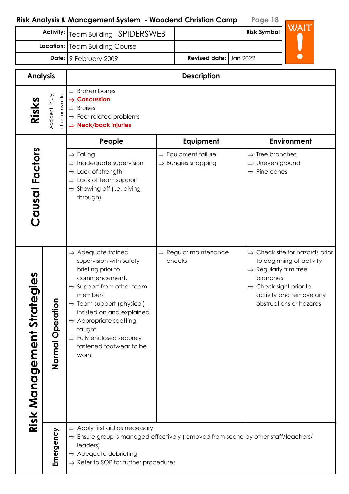| <b>Activity:</b> Team Building - SPIDERSWEB |                               |  |  |
|---------------------------------------------|-------------------------------|--|--|
| <b>Location:   Team Building Course</b>     |                               |  |  |
| Date: 9 February 2009                       | <b>Revised date:</b> Jan 2022 |  |  |

| <b>Analysis</b>                      |                                                                                                                                                                                                                                                                 | <b>Description</b>                                                                                                                                                                                                                                                                                                                                     |                                                                   |                                                                                                                                                                                                                     |  |  |  |
|--------------------------------------|-----------------------------------------------------------------------------------------------------------------------------------------------------------------------------------------------------------------------------------------------------------------|--------------------------------------------------------------------------------------------------------------------------------------------------------------------------------------------------------------------------------------------------------------------------------------------------------------------------------------------------------|-------------------------------------------------------------------|---------------------------------------------------------------------------------------------------------------------------------------------------------------------------------------------------------------------|--|--|--|
| Risks                                | other forms of loss<br>Accident, injury,                                                                                                                                                                                                                        | $\Rightarrow$ Broken bones<br>$\Rightarrow$ Concussion<br>$\Rightarrow$ Bruises<br>$\Rightarrow$ Fear related problems<br>$\Rightarrow$ Neck/back injuries                                                                                                                                                                                             |                                                                   |                                                                                                                                                                                                                     |  |  |  |
|                                      |                                                                                                                                                                                                                                                                 | People                                                                                                                                                                                                                                                                                                                                                 | Equipment                                                         | <b>Environment</b>                                                                                                                                                                                                  |  |  |  |
| Causal Factors                       |                                                                                                                                                                                                                                                                 | $\Rightarrow$ Falling<br>$\Rightarrow$ Inadequate supervision<br>Lack of strength<br>$\Rightarrow$ Lack of team support<br>$\Rightarrow$ Showing off (i.e. diving<br>through)                                                                                                                                                                          | $\Rightarrow$ Equipment failure<br>$\Rightarrow$ Bungies snapping | $\Rightarrow$ Tree branches<br>⇒ Uneven ground<br>$\Rightarrow$ Pine cones                                                                                                                                          |  |  |  |
| Strategies<br><b>Risk Management</b> | eration<br>$\mathbf{\hat{a}}$<br>Normal                                                                                                                                                                                                                         | $\Rightarrow$ Adequate trained<br>supervision with safety<br>briefing prior to<br>commencement.<br>$\Rightarrow$ Support from other team<br>members<br>$\Rightarrow$ Team support (physical)<br>insisted on and explained<br>$\Rightarrow$ Appropriate spotting<br>taught<br>$\Rightarrow$ Fully enclosed securely<br>fastened footwear to be<br>worn. | $\Rightarrow$ Regular maintenance<br>checks                       | $\Rightarrow$ Check site for hazards prior<br>to beginning of activity<br>$\Rightarrow$ Regularly trim tree<br>branches<br>$\Rightarrow$ Check sight prior to<br>activity and remove any<br>obstructions or hazards |  |  |  |
|                                      | $\Rightarrow$ Apply first aid as necessary<br>Emergency<br>$\Rightarrow$ Ensure group is managed effectively (removed from scene by other staff/teachers/<br>leaders)<br>$\Rightarrow$ Adequate debriefing<br>$\Rightarrow$ Refer to SOP for further procedures |                                                                                                                                                                                                                                                                                                                                                        |                                                                   |                                                                                                                                                                                                                     |  |  |  |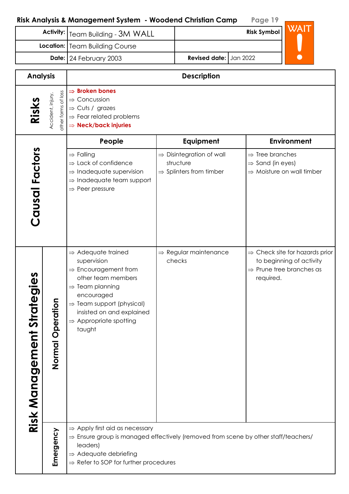| <b>Activity:</b>                         |                                          | Team Building - 3M WALL                                                                                                                                                                                                                                                    |  | WAIT<br><b>Risk Symbol</b>                                                               |                                                             |                                                                                                                |
|------------------------------------------|------------------------------------------|----------------------------------------------------------------------------------------------------------------------------------------------------------------------------------------------------------------------------------------------------------------------------|--|------------------------------------------------------------------------------------------|-------------------------------------------------------------|----------------------------------------------------------------------------------------------------------------|
|                                          |                                          | Location:   Team Building Course                                                                                                                                                                                                                                           |  |                                                                                          |                                                             |                                                                                                                |
|                                          |                                          | Date: 24 February 2003                                                                                                                                                                                                                                                     |  | <b>Revised date:</b>                                                                     | Jan 2022                                                    |                                                                                                                |
| <b>Analysis</b>                          |                                          |                                                                                                                                                                                                                                                                            |  | <b>Description</b>                                                                       |                                                             |                                                                                                                |
| Risks                                    | other forms of loss<br>Accident, injury, | $\Rightarrow$ Broken bones<br>$\Rightarrow$ Concussion<br>Cuts / grazes<br>$\Rightarrow$<br>$\Rightarrow$ Fear related problems<br><b>Neck/back injuries</b><br>$\Rightarrow$                                                                                              |  |                                                                                          |                                                             |                                                                                                                |
|                                          |                                          | People                                                                                                                                                                                                                                                                     |  | Equipment                                                                                |                                                             | <b>Environment</b>                                                                                             |
| Causal Factors                           |                                          | $\Rightarrow$ Falling<br>$\Rightarrow$ Lack of confidence<br>$\Rightarrow$ Inadequate supervision<br>Inadequate team support<br>$\Rightarrow$ Peer pressure                                                                                                                |  | $\Rightarrow$ Disintegration of wall<br>structure<br>$\Rightarrow$ Splinters from timber | $\Rightarrow$ Tree branches<br>$\Rightarrow$ Sand (in eyes) | $\Rightarrow$ Moisture on wall timber                                                                          |
| n<br>Φ<br><b>Risk Management Strateg</b> | Normal Operation                         | $\Rightarrow$ Adequate trained<br>supervision<br>$\Rightarrow$ Encouragement from<br>other team members<br>$\Rightarrow$ Team planning<br>encouraged<br>$\Rightarrow$ Team support (physical)<br>insisted on and explained<br>$\Rightarrow$ Appropriate spotting<br>taught |  | $\Rightarrow$ Regular maintenance<br>checks                                              | required.                                                   | $\Rightarrow$ Check site for hazards prior<br>to beginning of activity<br>$\Rightarrow$ Prune tree branches as |
|                                          | Emergency                                | $\Rightarrow$ Apply first aid as necessary<br>$\Rightarrow$ Ensure group is managed effectively (removed from scene by other staff/teachers/<br>leaders)<br>$\Rightarrow$ Adequate debriefing<br>$\Rightarrow$ Refer to SOP for further procedures                         |  |                                                                                          |                                                             |                                                                                                                |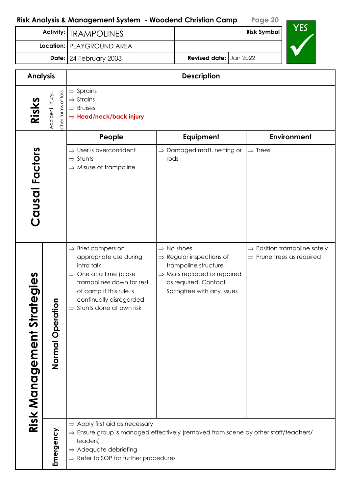|                                                   |                  | NISK ANGlysis & Management sysiem - Noodend Christian Camp                                                                                                                                                                                         |      |                                                                                                                                                                                         | 1 ugu ∠u                              |                                          |
|---------------------------------------------------|------------------|----------------------------------------------------------------------------------------------------------------------------------------------------------------------------------------------------------------------------------------------------|------|-----------------------------------------------------------------------------------------------------------------------------------------------------------------------------------------|---------------------------------------|------------------------------------------|
|                                                   |                  | Activity:   TRAMPOLINES                                                                                                                                                                                                                            |      |                                                                                                                                                                                         | <b>Risk Symbol</b>                    | <b>YES</b>                               |
|                                                   |                  | Location:   PLAYGROUND AREA                                                                                                                                                                                                                        |      |                                                                                                                                                                                         |                                       |                                          |
|                                                   |                  | Date: 24 February 2003                                                                                                                                                                                                                             |      | <b>Revised date:</b><br>Jan 2022                                                                                                                                                        |                                       |                                          |
| <b>Analysis</b>                                   |                  |                                                                                                                                                                                                                                                    |      | <b>Description</b>                                                                                                                                                                      |                                       |                                          |
| other forms of loss<br>Accident, injury.<br>Risks |                  | $\Rightarrow$ Sprains<br>$\Rightarrow$ Strains<br>$\Rightarrow$ Bruises<br>$\Rightarrow$ Head/neck/back injury                                                                                                                                     |      |                                                                                                                                                                                         |                                       |                                          |
|                                                   |                  | People                                                                                                                                                                                                                                             |      | Equipment                                                                                                                                                                               |                                       | Environment                              |
| Causal Factors                                    |                  | $\Rightarrow$ User is overconfident<br>$\Rightarrow$ Stunts<br>$\Rightarrow$ Misuse of trampoline                                                                                                                                                  | rods | $\Rightarrow$ Damaged matt, netting or                                                                                                                                                  | $\Rightarrow$ Trees                   |                                          |
| n<br>Φ<br><b>Risk Management Strategi</b>         | Normal Operation | $\Rightarrow$ Brief campers on<br>appropriate use during<br>intro talk<br>$\Rightarrow$ One at a time (close<br>trampolines down for rest<br>of camp if this rule is<br>continually disregarded<br>$\Rightarrow$ Stunts done at own risk           |      | $\Rightarrow$ No shoes<br>$\Rightarrow$ Regular inspections of<br>trampoline structure<br>$\Rightarrow$ Mats replaced or repaired<br>as required. Contact<br>Springfree with any issues | $\Rightarrow$ Prune trees as required | $\Rightarrow$ Position trampoline safely |
|                                                   | Emergency        | $\Rightarrow$ Apply first aid as necessary<br>$\Rightarrow$ Ensure group is managed effectively (removed from scene by other staff/teachers/<br>leaders)<br>$\Rightarrow$ Adequate debriefing<br>$\Rightarrow$ Refer to SOP for further procedures |      |                                                                                                                                                                                         |                                       |                                          |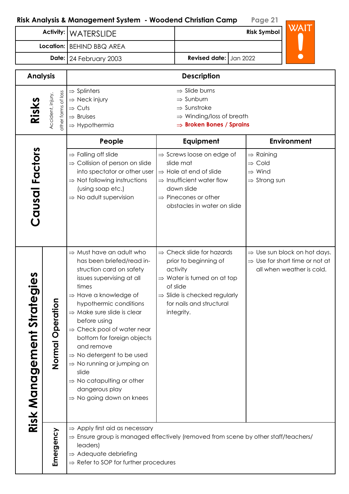| <u>idiyaa u muridgerilerii ayalerii - Mooderid Cililalidii Curiip</u> | $1 \times 7 \times 1$         |                    |      |  |
|-----------------------------------------------------------------------|-------------------------------|--------------------|------|--|
| Activity:   WATERSLIDE                                                |                               | <b>Risk Symbol</b> | WAIT |  |
| Location:   BEHIND BBQ AREA                                           |                               |                    |      |  |
| <b>Date:</b> $24$ February 2003                                       | <b>Revised date:</b> Jan 2022 |                    |      |  |

| <b>Analysis</b>               |                                          | <b>Description</b>                                                                                                                                                                                                                                                                                                                                                                                                                                                                                                                                |                                                                                                                                                                                                                         |                                                                                                                     |  |  |  |
|-------------------------------|------------------------------------------|---------------------------------------------------------------------------------------------------------------------------------------------------------------------------------------------------------------------------------------------------------------------------------------------------------------------------------------------------------------------------------------------------------------------------------------------------------------------------------------------------------------------------------------------------|-------------------------------------------------------------------------------------------------------------------------------------------------------------------------------------------------------------------------|---------------------------------------------------------------------------------------------------------------------|--|--|--|
| Risks                         | other forms of loss<br>Accident, injury, | $\Rightarrow$ Slide burns<br>$\Rightarrow$ Splinters<br>$\Rightarrow$ Neck injury<br>$\Rightarrow$ Sunburn<br>$\Rightarrow$ Sunstroke<br>$\Rightarrow$ Cuts<br>$\Rightarrow$ Winding/loss of breath<br>$\Rightarrow$ Bruises<br>$\Rightarrow$ Broken Bones / Sprains<br>$\Rightarrow$ Hypothermia                                                                                                                                                                                                                                                 |                                                                                                                                                                                                                         |                                                                                                                     |  |  |  |
|                               |                                          | People                                                                                                                                                                                                                                                                                                                                                                                                                                                                                                                                            | Equipment                                                                                                                                                                                                               | <b>Environment</b>                                                                                                  |  |  |  |
| Causal Factors                |                                          | $\Rightarrow$ Falling off slide<br>$\Rightarrow$ Collision of person on slide<br>into spectator or other user<br>$\Rightarrow$ Not following instructions<br>(using soap etc.)<br>$\Rightarrow$ No adult supervision                                                                                                                                                                                                                                                                                                                              | $\Rightarrow$ Screws loose on edge of<br>slide mat<br>$\Rightarrow$ Hole at end of slide<br>$\Rightarrow$ Insufficient water flow<br>down slide<br>$\Rightarrow$ Pinecones or other<br>obstacles in water on slide      | $\Rightarrow$ Raining<br>$\Rightarrow$ Cold<br>$\Rightarrow$ Wind<br>$\Rightarrow$ Strong sun                       |  |  |  |
| Strategies<br>Risk Management | eration<br><b>O</b><br>Normal            | $\Rightarrow$ Must have an adult who<br>has been briefed/read in-<br>struction card on safety<br>issues supervising at all<br>times<br>$\Rightarrow$ Have a knowledge of<br>hypothermic conditions<br>$\Rightarrow$ Make sure slide is clear<br>before using<br>$\Rightarrow$ Check pool of water near<br>bottom for foreign objects<br>and remove<br>$\Rightarrow$ No detergent to be used<br>$\Rightarrow$ No running or jumping on<br>slide<br>$\Rightarrow$ No catapulting or other<br>dangerous play<br>$\Rightarrow$ No going down on knees | $\Rightarrow$ Check slide for hazards<br>prior to beginning of<br>activity<br>$\Rightarrow$ Water is turned on at top<br>of slide<br>$\Rightarrow$ Slide is checked regularly<br>for nails and structural<br>integrity. | $\Rightarrow$ Use sun block on hot days.<br>$\Rightarrow$ Use for short time or not at<br>all when weather is cold. |  |  |  |
|                               | Emergency                                | $\Rightarrow$ Apply first aid as necessary<br>leaders)<br>$\Rightarrow$ Adequate debriefing<br>$\Rightarrow$ Refer to SOP for further procedures                                                                                                                                                                                                                                                                                                                                                                                                  | $\Rightarrow$ Ensure group is managed effectively (removed from scene by other staff/teachers/                                                                                                                          |                                                                                                                     |  |  |  |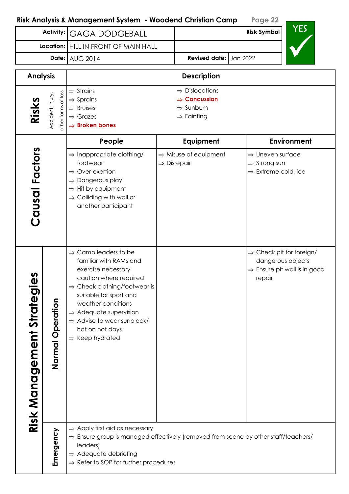| <b>Activity:</b><br><b>GAGA DODGEBALL</b> |                                          | <b>YES</b><br><b>Risk Symbol</b>                                                                                                                                                                                                                                                                                                         |  |                                                                                                           |                                                                                                                 |
|-------------------------------------------|------------------------------------------|------------------------------------------------------------------------------------------------------------------------------------------------------------------------------------------------------------------------------------------------------------------------------------------------------------------------------------------|--|-----------------------------------------------------------------------------------------------------------|-----------------------------------------------------------------------------------------------------------------|
|                                           | Location:                                | HILL IN FRONT OF MAIN HALL                                                                                                                                                                                                                                                                                                               |  |                                                                                                           |                                                                                                                 |
|                                           | Date: $AUG 2014$                         |                                                                                                                                                                                                                                                                                                                                          |  | Revised date: Jan 2022                                                                                    |                                                                                                                 |
| <b>Analysis</b>                           |                                          |                                                                                                                                                                                                                                                                                                                                          |  | <b>Description</b>                                                                                        |                                                                                                                 |
| Risks                                     | other forms of loss<br>Accident, injury, | $\Rightarrow$ Strains<br>$\Rightarrow$ Sprains<br>$\Rightarrow$ Bruises<br>$\Rightarrow$ Grazes<br>$\Rightarrow$ Broken bones                                                                                                                                                                                                            |  | $\Rightarrow$ Dislocations<br>$\Rightarrow$ Concussion<br>$\Rightarrow$ Sunburn<br>$\Rightarrow$ Fainting |                                                                                                                 |
|                                           |                                          | People                                                                                                                                                                                                                                                                                                                                   |  | Equipment                                                                                                 | <b>Environment</b>                                                                                              |
| Causal Factors                            |                                          | $\Rightarrow$ Inappropriate clothing/<br>footwear<br>$\Rightarrow$ Over-exertion<br>Dangerous play<br>$\Rightarrow$ Hit by equipment<br>$\Rightarrow$ Colliding with wall or<br>another participant                                                                                                                                      |  | $\Rightarrow$ Misuse of equipment<br>$\Rightarrow$ Disrepair                                              | $\Rightarrow$ Uneven surface<br>$\Rightarrow$ Strong sun<br>$\Rightarrow$ Extreme cold, ice                     |
| n<br>Φ<br><b>Risk Management Strateg</b>  | Normal Operation                         | $\Rightarrow$ Camp leaders to be<br>familiar with RAMs and<br>exercise necessary<br>caution where required<br>$\Rightarrow$ Check clothing/footwear is<br>suitable for sport and<br>weather conditions<br>$\Rightarrow$ Adequate supervision<br>$\Rightarrow$ Advise to wear sunblock/<br>hat on hot days<br>$\Rightarrow$ Keep hydrated |  |                                                                                                           | $\Rightarrow$ Check pit for foreign/<br>dangerous objects<br>$\Rightarrow$ Ensure pit wall is in good<br>repair |
|                                           | Emergency                                | $\Rightarrow$ Apply first aid as necessary<br>$\Rightarrow$ Ensure group is managed effectively (removed from scene by other staff/teachers/<br>leaders)<br>$\Rightarrow$ Adequate debriefing<br>$\Rightarrow$ Refer to SOP for further procedures                                                                                       |  |                                                                                                           |                                                                                                                 |